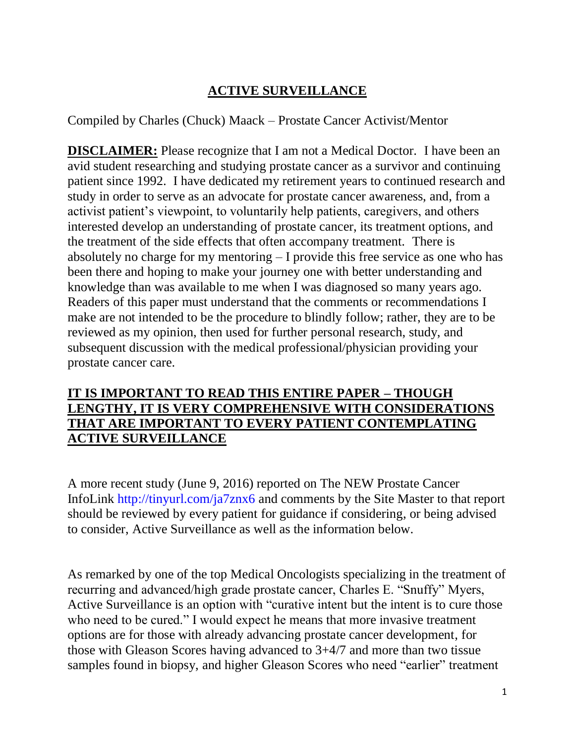# **ACTIVE SURVEILLANCE**

Compiled by Charles (Chuck) Maack – Prostate Cancer Activist/Mentor

**DISCLAIMER:** Please recognize that I am not a Medical Doctor. I have been an avid student researching and studying prostate cancer as a survivor and continuing patient since 1992. I have dedicated my retirement years to continued research and study in order to serve as an advocate for prostate cancer awareness, and, from a activist patient's viewpoint, to voluntarily help patients, caregivers, and others interested develop an understanding of prostate cancer, its treatment options, and the treatment of the side effects that often accompany treatment. There is absolutely no charge for my mentoring – I provide this free service as one who has been there and hoping to make your journey one with better understanding and knowledge than was available to me when I was diagnosed so many years ago. Readers of this paper must understand that the comments or recommendations I make are not intended to be the procedure to blindly follow; rather, they are to be reviewed as my opinion, then used for further personal research, study, and subsequent discussion with the medical professional/physician providing your prostate cancer care.

# **IT IS IMPORTANT TO READ THIS ENTIRE PAPER – THOUGH LENGTHY, IT IS VERY COMPREHENSIVE WITH CONSIDERATIONS THAT ARE IMPORTANT TO EVERY PATIENT CONTEMPLATING ACTIVE SURVEILLANCE**

A more recent study (June 9, 2016) reported on The NEW Prostate Cancer InfoLink<http://tinyurl.com/ja7znx6> and comments by the Site Master to that report should be reviewed by every patient for guidance if considering, or being advised to consider, Active Surveillance as well as the information below.

As remarked by one of the top Medical Oncologists specializing in the treatment of recurring and advanced/high grade prostate cancer, Charles E. "Snuffy" Myers, Active Surveillance is an option with "curative intent but the intent is to cure those who need to be cured." I would expect he means that more invasive treatment options are for those with already advancing prostate cancer development, for those with Gleason Scores having advanced to 3+4/7 and more than two tissue samples found in biopsy, and higher Gleason Scores who need "earlier" treatment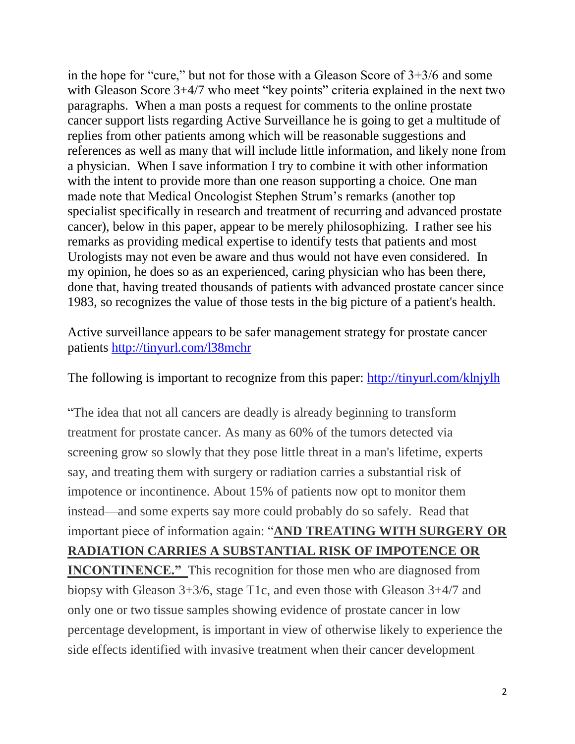in the hope for "cure," but not for those with a Gleason Score of 3+3/6 and some with Gleason Score 3+4/7 who meet "key points" criteria explained in the next two paragraphs. When a man posts a request for comments to the online prostate cancer support lists regarding Active Surveillance he is going to get a multitude of replies from other patients among which will be reasonable suggestions and references as well as many that will include little information, and likely none from a physician. When I save information I try to combine it with other information with the intent to provide more than one reason supporting a choice. One man made note that Medical Oncologist Stephen Strum's remarks (another top specialist specifically in research and treatment of recurring and advanced prostate cancer), below in this paper, appear to be merely philosophizing. I rather see his remarks as providing medical expertise to identify tests that patients and most Urologists may not even be aware and thus would not have even considered. In my opinion, he does so as an experienced, caring physician who has been there, done that, having treated thousands of patients with advanced prostate cancer since 1983, so recognizes the value of those tests in the big picture of a patient's health.

Active surveillance appears to be safer management strategy for prostate cancer patients<http://tinyurl.com/l38mchr>

The following is important to recognize from this paper:<http://tinyurl.com/klnjylh>

"The idea that not all cancers are deadly is already beginning to transform treatment for prostate cancer. As many as 60% of the tumors detected via screening grow so slowly that they pose little threat in a man's lifetime, experts say, and treating them with surgery or radiation carries a substantial risk of impotence or incontinence. About 15% of patients now opt to monitor them instead—and some experts say more could probably do so safely. Read that important piece of information again: "**AND TREATING WITH SURGERY OR RADIATION CARRIES A SUBSTANTIAL RISK OF IMPOTENCE OR INCONTINENCE."** This recognition for those men who are diagnosed from biopsy with Gleason 3+3/6, stage T1c, and even those with Gleason 3+4/7 and only one or two tissue samples showing evidence of prostate cancer in low

percentage development, is important in view of otherwise likely to experience the side effects identified with invasive treatment when their cancer development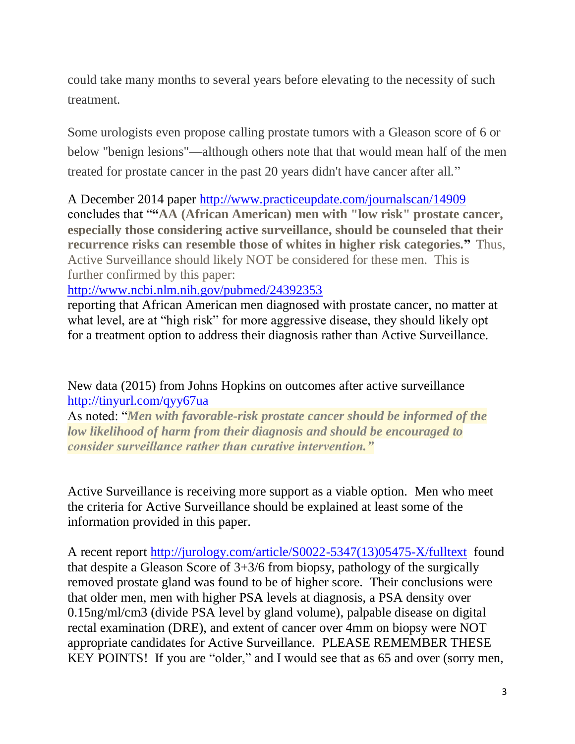could take many months to several years before elevating to the necessity of such treatment.

Some urologists even propose calling prostate tumors with a Gleason score of 6 or below "benign lesions"—although others note that that would mean half of the men treated for prostate cancer in the past 20 years didn't have cancer after all."

A December 2014 paper<http://www.practiceupdate.com/journalscan/14909> concludes that "**"AA (African American) men with "low risk" prostate cancer, especially those considering active surveillance, should be counseled that their recurrence risks can resemble those of whites in higher risk categories."** Thus, Active Surveillance should likely NOT be considered for these men. This is further confirmed by this paper:

<http://www.ncbi.nlm.nih.gov/pubmed/24392353>

reporting that African American men diagnosed with prostate cancer, no matter at what level, are at "high risk" for more aggressive disease, they should likely opt for a treatment option to address their diagnosis rather than Active Surveillance.

[New data \(2015\) from Johns Hopkins on outcomes after active](http://prostatecancerinfolink.net/2015/09/01/new-data-from-johns-hopkins-on-outcomes-after-active-surveillance/) surveillance <http://tinyurl.com/qyy67ua>

As noted: "*Men with favorable-risk prostate cancer should be informed of the low likelihood of harm from their diagnosis and should be encouraged to consider surveillance rather than curative intervention."*

Active Surveillance is receiving more support as a viable option. Men who meet the criteria for Active Surveillance should be explained at least some of the information provided in this paper.

A recent report [http://jurology.com/article/S0022-5347\(13\)05475-X/fulltext](http://jurology.com/article/S0022-5347(13)05475-X/fulltext) found that despite a Gleason Score of 3+3/6 from biopsy, pathology of the surgically removed prostate gland was found to be of higher score. Their conclusions were that older men, men with higher PSA levels at diagnosis, a PSA density over 0.15ng/ml/cm3 (divide PSA level by gland volume), palpable disease on digital rectal examination (DRE), and extent of cancer over 4mm on biopsy were NOT appropriate candidates for Active Surveillance. PLEASE REMEMBER THESE KEY POINTS! If you are "older," and I would see that as 65 and over (sorry men,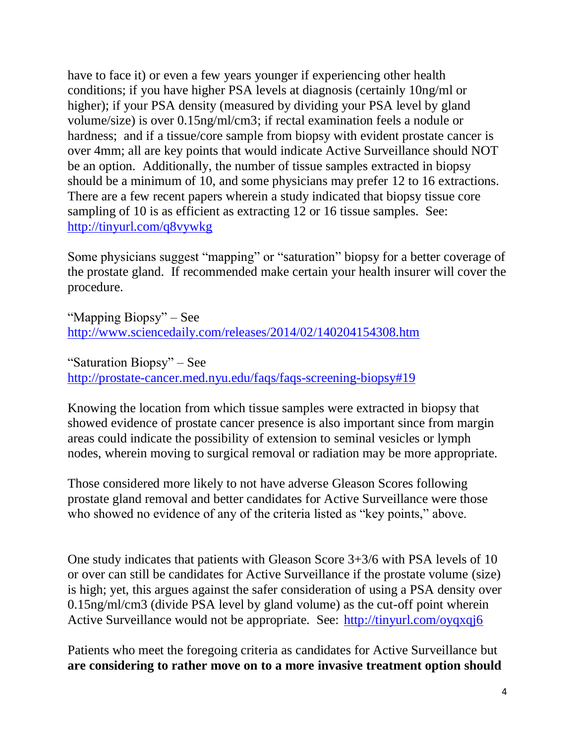have to face it) or even a few years younger if experiencing other health conditions; if you have higher PSA levels at diagnosis (certainly 10ng/ml or higher); if your PSA density (measured by dividing your PSA level by gland volume/size) is over 0.15ng/ml/cm3; if rectal examination feels a nodule or hardness; and if a tissue/core sample from biopsy with evident prostate cancer is over 4mm; all are key points that would indicate Active Surveillance should NOT be an option. Additionally, the number of tissue samples extracted in biopsy should be a minimum of 10, and some physicians may prefer 12 to 16 extractions. There are a few recent papers wherein a study indicated that biopsy tissue core sampling of 10 is as efficient as extracting 12 or 16 tissue samples. See: <http://tinyurl.com/q8vywkg>

Some physicians suggest "mapping" or "saturation" biopsy for a better coverage of the prostate gland. If recommended make certain your health insurer will cover the procedure.

"Mapping Biopsy" – See <http://www.sciencedaily.com/releases/2014/02/140204154308.htm>

"Saturation Biopsy" – See <http://prostate-cancer.med.nyu.edu/faqs/faqs-screening-biopsy#19>

Knowing the location from which tissue samples were extracted in biopsy that showed evidence of prostate cancer presence is also important since from margin areas could indicate the possibility of extension to seminal vesicles or lymph nodes, wherein moving to surgical removal or radiation may be more appropriate.

Those considered more likely to not have adverse Gleason Scores following prostate gland removal and better candidates for Active Surveillance were those who showed no evidence of any of the criteria listed as "key points," above.

One study indicates that patients with Gleason Score 3+3/6 with PSA levels of 10 or over can still be candidates for Active Surveillance if the prostate volume (size) is high; yet, this argues against the safer consideration of using a PSA density over 0.15ng/ml/cm3 (divide PSA level by gland volume) as the cut-off point wherein Active Surveillance would not be appropriate. See: <http://tinyurl.com/oyqxqj6>

Patients who meet the foregoing criteria as candidates for Active Surveillance but **are considering to rather move on to a more invasive treatment option should**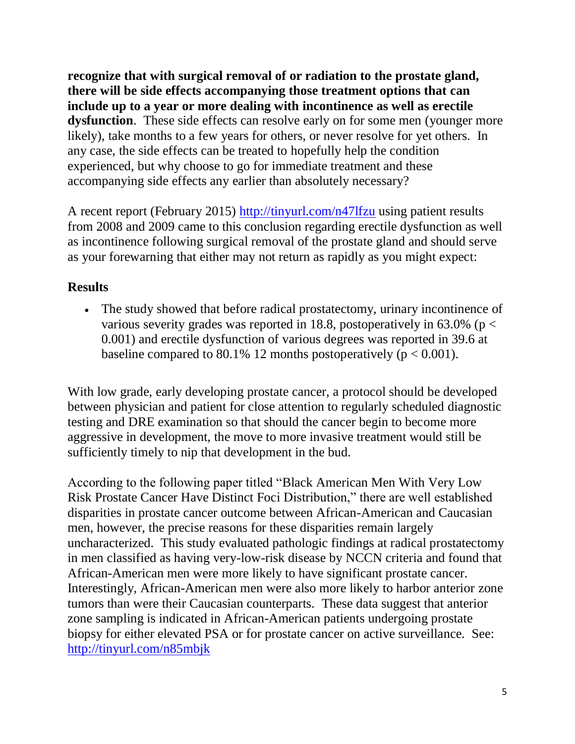**recognize that with surgical removal of or radiation to the prostate gland, there will be side effects accompanying those treatment options that can include up to a year or more dealing with incontinence as well as erectile dysfunction**. These side effects can resolve early on for some men (younger more likely), take months to a few years for others, or never resolve for yet others. In any case, the side effects can be treated to hopefully help the condition experienced, but why choose to go for immediate treatment and these accompanying side effects any earlier than absolutely necessary?

A recent report (February 2015)<http://tinyurl.com/n47lfzu> using patient results from 2008 and 2009 came to this conclusion regarding erectile dysfunction as well as incontinence following surgical removal of the prostate gland and should serve as your forewarning that either may not return as rapidly as you might expect:

# **Results**

 The study showed that before radical prostatectomy, urinary incontinence of various severity grades was reported in 18.8, postoperatively in  $63.0\%$  (p < 0.001) and erectile dysfunction of various degrees was reported in 39.6 at baseline compared to 80.1% 12 months postoperatively ( $p < 0.001$ ).

With low grade, early developing prostate cancer, a protocol should be developed between physician and patient for close attention to regularly scheduled diagnostic testing and DRE examination so that should the cancer begin to become more aggressive in development, the move to more invasive treatment would still be sufficiently timely to nip that development in the bud.

According to the following paper titled "Black American Men With Very Low Risk Prostate Cancer Have Distinct Foci Distribution," there are well established disparities in prostate cancer outcome between African-American and Caucasian men, however, the precise reasons for these disparities remain largely uncharacterized. This study evaluated pathologic findings at radical prostatectomy in men classified as having very-low-risk disease by NCCN criteria and found that African-American men were more likely to have significant prostate cancer. Interestingly, African-American men were also more likely to harbor anterior zone tumors than were their Caucasian counterparts. These data suggest that anterior zone sampling is indicated in African-American patients undergoing prostate biopsy for either elevated PSA or for prostate cancer on active surveillance. See: <http://tinyurl.com/n85mbjk>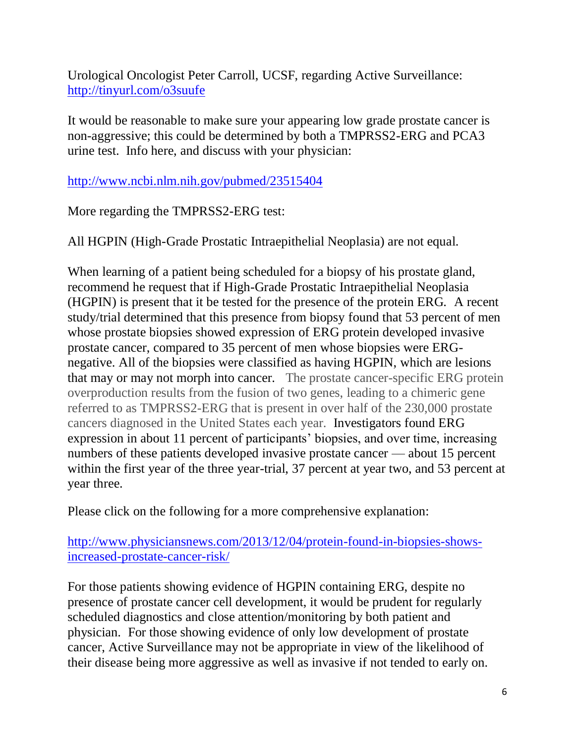Urological Oncologist Peter Carroll, UCSF, regarding Active Surveillance: <http://tinyurl.com/o3suufe>

It would be reasonable to make sure your appearing low grade prostate cancer is non-aggressive; this could be determined by both a TMPRSS2-ERG and PCA3 urine test. Info here, and discuss with your physician:

<http://www.ncbi.nlm.nih.gov/pubmed/23515404>

More regarding the TMPRSS2-ERG test:

All HGPIN (High-Grade Prostatic Intraepithelial Neoplasia) are not equal.

When learning of a patient being scheduled for a biopsy of his prostate gland, recommend he request that if High-Grade Prostatic Intraepithelial Neoplasia (HGPIN) is present that it be tested for the presence of the protein ERG. A recent study/trial determined that this presence from biopsy found that 53 percent of men whose prostate biopsies showed expression of ERG protein developed invasive prostate cancer, compared to 35 percent of men whose biopsies were ERGnegative. All of the biopsies were classified as having HGPIN, which are lesions that may or may not morph into cancer. The prostate cancer-specific ERG protein overproduction results from the fusion of two genes, leading to a chimeric gene referred to as TMPRSS2-ERG that is present in over half of the 230,000 prostate cancers diagnosed in the United States each year. Investigators found ERG expression in about 11 percent of participants' biopsies, and over time, increasing numbers of these patients developed invasive prostate cancer — about 15 percent within the first year of the three year-trial, 37 percent at year two, and 53 percent at year three.

Please click on the following for a more comprehensive explanation:

[http://www.physiciansnews.com/2013/12/04/protein-found-in-biopsies-shows](http://www.physiciansnews.com/2013/12/04/protein-found-in-biopsies-shows-increased-prostate-cancer-risk/)[increased-prostate-cancer-risk/](http://www.physiciansnews.com/2013/12/04/protein-found-in-biopsies-shows-increased-prostate-cancer-risk/)

For those patients showing evidence of HGPIN containing ERG, despite no presence of prostate cancer cell development, it would be prudent for regularly scheduled diagnostics and close attention/monitoring by both patient and physician. For those showing evidence of only low development of prostate cancer, Active Surveillance may not be appropriate in view of the likelihood of their disease being more aggressive as well as invasive if not tended to early on.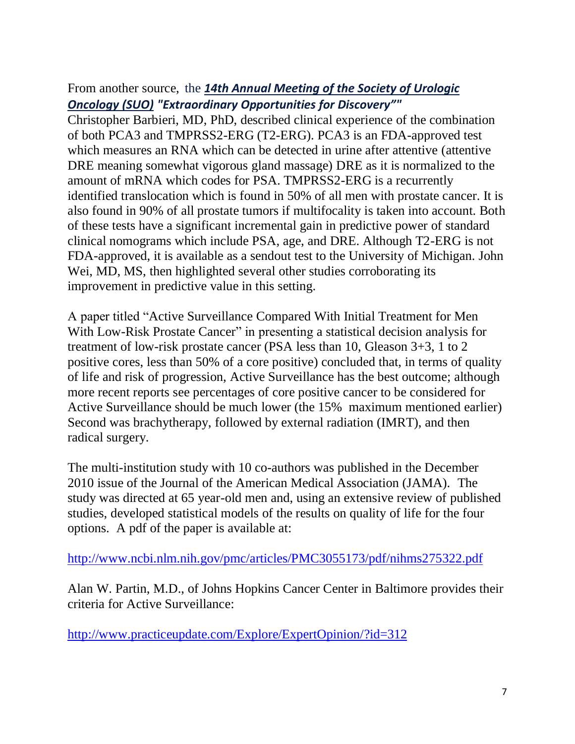# From another source, the *14th Annual Meeting of the Society of [Urologic](http://www.urotoday.com/index.php?option=com_content&Itemid=1759&id=1503&lang=en&layout=blog&view=category) [Oncology](http://www.urotoday.com/index.php?option=com_content&Itemid=1759&id=1503&lang=en&layout=blog&view=category) (SUO) "Extraordinary Opportunities for Discovery""*

Christopher Barbieri, MD, PhD, described clinical experience of the combination of both PCA3 and TMPRSS2-ERG (T2-ERG). PCA3 is an FDA-approved test which measures an RNA which can be detected in urine after attentive (attentive DRE meaning somewhat vigorous gland massage) DRE as it is normalized to the amount of mRNA which codes for PSA. TMPRSS2-ERG is a recurrently identified translocation which is found in 50% of all men with prostate cancer. It is also found in 90% of all prostate tumors if multifocality is taken into account. Both of these tests have a significant incremental gain in predictive power of standard clinical nomograms which include PSA, age, and DRE. Although T2-ERG is not FDA-approved, it is available as a sendout test to the University of Michigan. John Wei, MD, MS, then highlighted several other studies corroborating its improvement in predictive value in this setting.

A paper titled "Active Surveillance Compared With Initial Treatment for Men With Low-Risk Prostate Cancer" in presenting a statistical decision analysis for treatment of low-risk prostate cancer (PSA less than 10, Gleason 3+3, 1 to 2 positive cores, less than 50% of a core positive) concluded that, in terms of quality of life and risk of progression, Active Surveillance has the best outcome; although more recent reports see percentages of core positive cancer to be considered for Active Surveillance should be much lower (the 15% maximum mentioned earlier) Second was brachytherapy, followed by external radiation (IMRT), and then radical surgery.

The multi-institution study with 10 co-authors was published in the December 2010 issue of the Journal of the American Medical Association (JAMA). The study was directed at 65 year-old men and, using an extensive review of published studies, developed statistical models of the results on quality of life for the four options. A pdf of the paper is available at:

<http://www.ncbi.nlm.nih.gov/pmc/articles/PMC3055173/pdf/nihms275322.pdf>

Alan W. Partin, M.D., of Johns Hopkins Cancer Center in Baltimore provides their criteria for Active Surveillance:

<http://www.practiceupdate.com/Explore/ExpertOpinion/?id=312>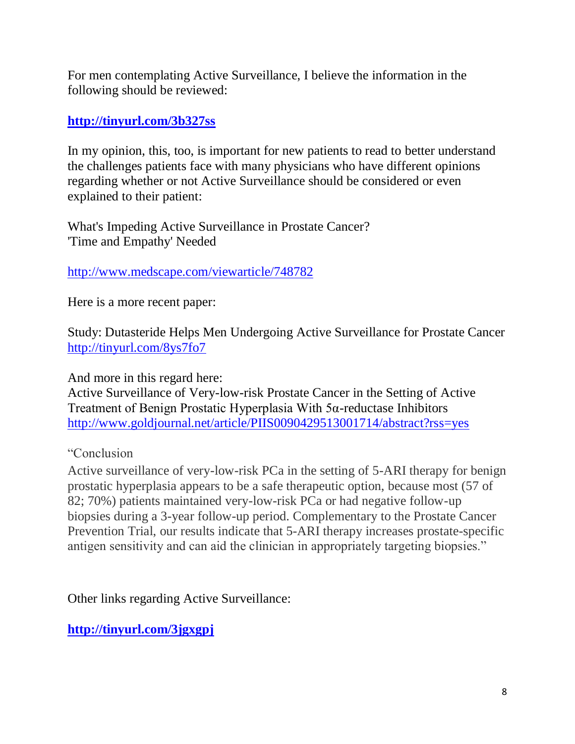For men contemplating Active Surveillance, I believe the information in the following should be reviewed:

### **<http://tinyurl.com/3b327ss>**

In my opinion, this, too, is important for new patients to read to better understand the challenges patients face with many physicians who have different opinions regarding whether or not Active Surveillance should be considered or even explained to their patient:

What's Impeding Active Surveillance in Prostate Cancer? 'Time and Empathy' Needed

#### <http://www.medscape.com/viewarticle/748782>

Here is a more recent paper:

Study: Dutasteride Helps Men Undergoing Active Surveillance for Prostate Cancer <http://tinyurl.com/8ys7fo7>

And more in this regard here:

Active Surveillance of Very-low-risk Prostate Cancer in the Setting of Active Treatment of Benign Prostatic Hyperplasia With 5α-reductase Inhibitors <http://www.goldjournal.net/article/PIIS0090429513001714/abstract?rss=yes>

## "Conclusion

Active surveillance of very-low-risk PCa in the setting of 5-ARI therapy for benign prostatic hyperplasia appears to be a safe therapeutic option, because most (57 of 82; 70%) patients maintained very-low-risk PCa or had negative follow-up biopsies during a 3-year follow-up period. Complementary to the Prostate Cancer Prevention Trial, our results indicate that 5-ARI therapy increases prostate-specific antigen sensitivity and can aid the clinician in appropriately targeting biopsies."

Other links regarding Active Surveillance:

**<http://tinyurl.com/3jgxgpj>**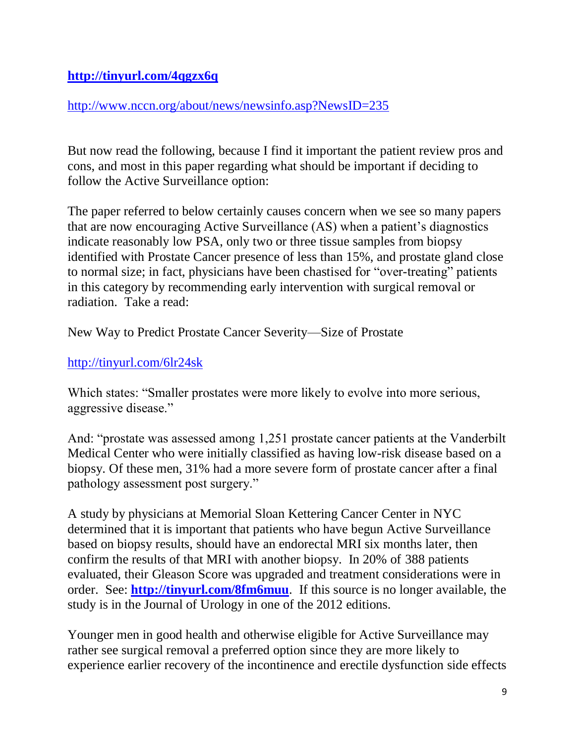## **<http://tinyurl.com/4qgzx6q>**

#### <http://www.nccn.org/about/news/newsinfo.asp?NewsID=235>

But now read the following, because I find it important the patient review pros and cons, and most in this paper regarding what should be important if deciding to follow the Active Surveillance option:

The paper referred to below certainly causes concern when we see so many papers that are now encouraging Active Surveillance (AS) when a patient's diagnostics indicate reasonably low PSA, only two or three tissue samples from biopsy identified with Prostate Cancer presence of less than 15%, and prostate gland close to normal size; in fact, physicians have been chastised for "over-treating" patients in this category by recommending early intervention with surgical removal or radiation. Take a read:

New Way to Predict Prostate Cancer Severity—Size of Prostate

## <http://tinyurl.com/6lr24sk>

Which states: "Smaller prostates were more likely to evolve into more serious, aggressive disease."

And: "prostate was assessed among 1,251 prostate cancer patients at the Vanderbilt Medical Center who were initially classified as having low-risk disease based on a biopsy. Of these men, 31% had a more severe form of prostate cancer after a final pathology assessment post surgery."

A study by physicians at Memorial Sloan Kettering Cancer Center in NYC determined that it is important that patients who have begun Active Surveillance based on biopsy results, should have an endorectal MRI six months later, then confirm the results of that MRI with another biopsy. In 20% of 388 patients evaluated, their Gleason Score was upgraded and treatment considerations were in order. See: **<http://tinyurl.com/8fm6muu>**. If this source is no longer available, the study is in the Journal of Urology in one of the 2012 editions.

Younger men in good health and otherwise eligible for Active Surveillance may rather see surgical removal a preferred option since they are more likely to experience earlier recovery of the incontinence and erectile dysfunction side effects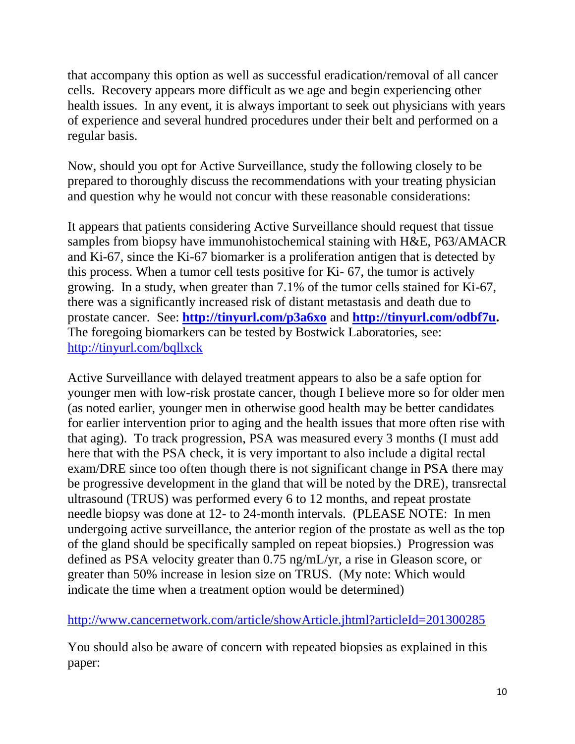that accompany this option as well as successful eradication/removal of all cancer cells. Recovery appears more difficult as we age and begin experiencing other health issues. In any event, it is always important to seek out physicians with years of experience and several hundred procedures under their belt and performed on a regular basis.

Now, should you opt for Active Surveillance, study the following closely to be prepared to thoroughly discuss the recommendations with your treating physician and question why he would not concur with these reasonable considerations:

It appears that patients considering Active Surveillance should request that tissue samples from biopsy have immunohistochemical staining with H&E, P63/AMACR and Ki-67, since the Ki-67 biomarker is a proliferation antigen that is detected by this process. When a tumor cell tests positive for Ki- 67, the tumor is actively growing. In a study, when greater than 7.1% of the tumor cells stained for Ki-67, there was a significantly increased risk of distant metastasis and death due to prostate cancer. See: **<http://tinyurl.com/p3a6xo>** and **[http://tinyurl.com/odbf7u.](http://tinyurl.com/odbf7u)** The foregoing biomarkers can be tested by Bostwick Laboratories, see: <http://tinyurl.com/bqllxck>

Active Surveillance with delayed treatment appears to also be a safe option for younger men with low-risk prostate cancer, though I believe more so for older men (as noted earlier, younger men in otherwise good health may be better candidates for earlier intervention prior to aging and the health issues that more often rise with that aging). To track progression, PSA was measured every 3 months (I must add here that with the PSA check, it is very important to also include a digital rectal exam/DRE since too often though there is not significant change in PSA there may be progressive development in the gland that will be noted by the DRE), transrectal ultrasound (TRUS) was performed every 6 to 12 months, and repeat prostate needle biopsy was done at 12- to 24-month intervals. (PLEASE NOTE: In men undergoing active surveillance, the anterior region of the prostate as well as the top of the gland should be specifically sampled on repeat biopsies.) Progression was defined as PSA velocity greater than 0.75 ng/mL/yr, a rise in Gleason score, or greater than 50% increase in lesion size on TRUS. (My note: Which would indicate the time when a treatment option would be determined)

## <http://www.cancernetwork.com/article/showArticle.jhtml?articleId=201300285>

You should also be aware of concern with repeated biopsies as explained in this paper: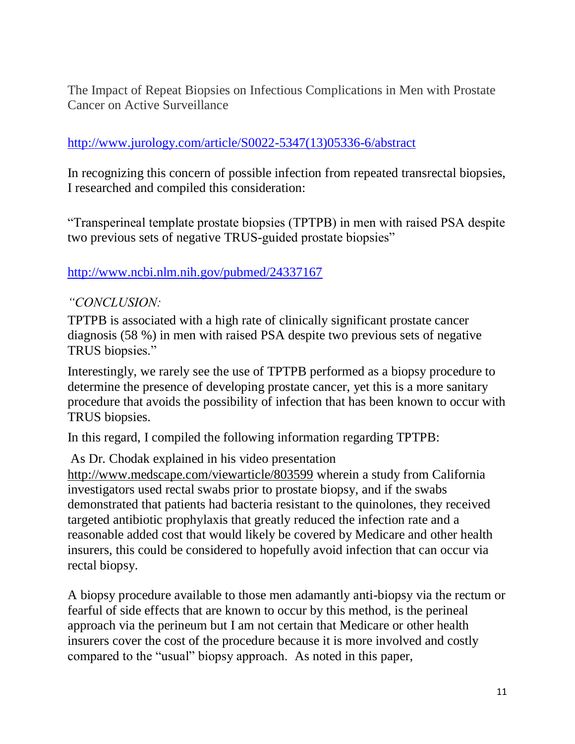The Impact of Repeat Biopsies on Infectious Complications in Men with Prostate Cancer on Active Surveillance

### [http://www.jurology.com/article/S0022-5347\(13\)05336-6/abstract](http://www.jurology.com/article/S0022-5347(13)05336-6/abstract)

In recognizing this concern of possible infection from repeated transrectal biopsies, I researched and compiled this consideration:

"Transperineal template prostate biopsies (TPTPB) in men with raised PSA despite two previous sets of negative TRUS-guided prostate biopsies"

#### <http://www.ncbi.nlm.nih.gov/pubmed/24337167>

#### *"CONCLUSION:*

TPTPB is associated with a high rate of clinically significant prostate cancer diagnosis (58 %) in men with raised PSA despite two previous sets of negative TRUS biopsies."

Interestingly, we rarely see the use of TPTPB performed as a biopsy procedure to determine the presence of developing prostate cancer, yet this is a more sanitary procedure that avoids the possibility of infection that has been known to occur with TRUS biopsies.

In this regard, I compiled the following information regarding TPTPB:

As Dr. Chodak explained in his video presentation

<http://www.medscape.com/viewarticle/803599> wherein a study from California investigators used rectal swabs prior to prostate biopsy, and if the swabs demonstrated that patients had bacteria resistant to the quinolones, they received targeted antibiotic prophylaxis that greatly reduced the infection rate and a reasonable added cost that would likely be covered by Medicare and other health insurers, this could be considered to hopefully avoid infection that can occur via rectal biopsy.

A biopsy procedure available to those men adamantly anti-biopsy via the rectum or fearful of side effects that are known to occur by this method, is the perineal approach via the perineum but I am not certain that Medicare or other health insurers cover the cost of the procedure because it is more involved and costly compared to the "usual" biopsy approach. As noted in this paper,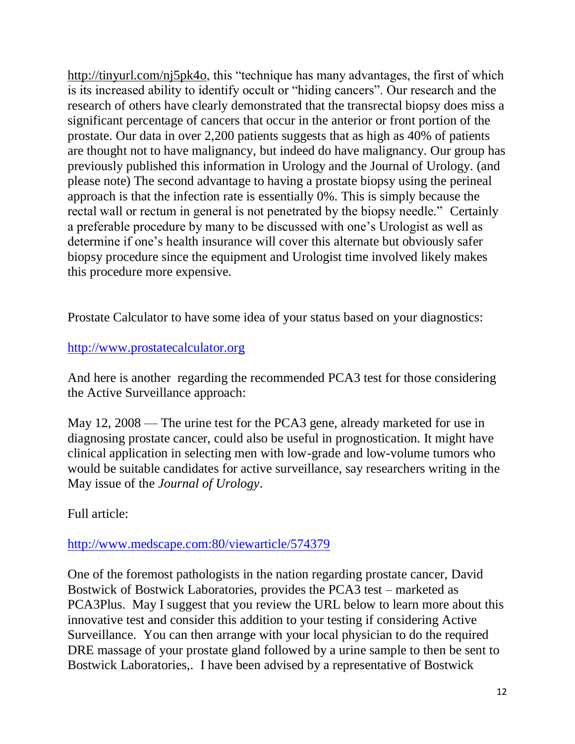[http://tinyurl.com/nj5pk4o,](http://tinyurl.com/nj5pk4o) this "technique has many advantages, the first of which is its increased ability to identify occult or "hiding cancers". Our research and the research of others have clearly demonstrated that the transrectal biopsy does miss a significant percentage of cancers that occur in the anterior or front portion of the prostate. Our data in over 2,200 patients suggests that as high as 40% of patients are thought not to have malignancy, but indeed do have malignancy. Our group has previously published this information in Urology and the Journal of Urology. (and please note) The second advantage to having a prostate biopsy using the perineal approach is that the infection rate is essentially 0%. This is simply because the rectal wall or rectum in general is not penetrated by the biopsy needle." Certainly a preferable procedure by many to be discussed with one's Urologist as well as determine if one's health insurance will cover this alternate but obviously safer biopsy procedure since the equipment and Urologist time involved likely makes this procedure more expensive.

Prostate Calculator to have some idea of your status based on your diagnostics:

#### [http://www.prostatecalculator.org](http://www.prostatecalculator.org/)

And here is another regarding the recommended PCA3 test for those considering the Active Surveillance approach:

May 12, 2008 — The urine test for the PCA3 gene, already marketed for use in diagnosing prostate cancer, could also be useful in prognostication. It might have clinical application in selecting men with low-grade and low-volume tumors who would be suitable candidates for active surveillance, say researchers writing in the May issue of the *Journal of Urology*.

Full article:

#### [http://www.medscape.com:80/viewarticle/574379](http://www.medscape.com/viewarticle/574379)

One of the foremost pathologists in the nation regarding prostate cancer, David Bostwick of Bostwick Laboratories, provides the PCA3 test – marketed as PCA3Plus. May I suggest that you review the URL below to learn more about this innovative test and consider this addition to your testing if considering Active Surveillance. You can then arrange with your local physician to do the required DRE massage of your prostate gland followed by a urine sample to then be sent to Bostwick Laboratories,. I have been advised by a representative of Bostwick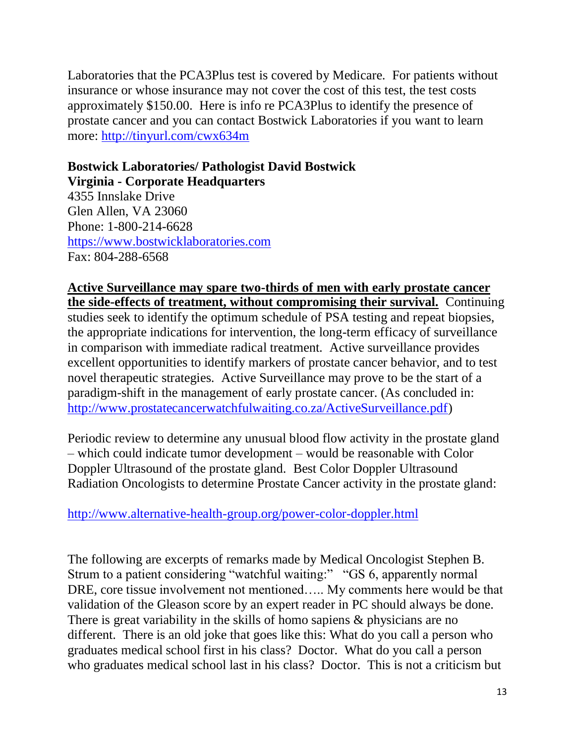Laboratories that the PCA3Plus test is covered by Medicare. For patients without insurance or whose insurance may not cover the cost of this test, the test costs approximately \$150.00. Here is info re PCA3Plus to identify the presence of prostate cancer and you can contact Bostwick Laboratories if you want to learn more: <http://tinyurl.com/cwx634m>

#### **Bostwick Laboratories/ Pathologist David Bostwick Virginia - Corporate Headquarters**

4355 Innslake Drive Glen Allen, VA 23060 Phone: 1-800-214-6628 [https://www.bostwicklaboratories.com](https://www.bostwicklaboratories.com/) Fax: 804-288-6568

**Active Surveillance may spare two-thirds of men with early prostate cancer the side-effects of treatment, without compromising their survival.** Continuing studies seek to identify the optimum schedule of PSA testing and repeat biopsies, the appropriate indications for intervention, the long-term efficacy of surveillance in comparison with immediate radical treatment. Active surveillance provides excellent opportunities to identify markers of prostate cancer behavior, and to test novel therapeutic strategies. Active Surveillance may prove to be the start of a paradigm-shift in the management of early prostate cancer. (As concluded in: [http://www.prostatecancerwatchfulwaiting.co.za/ActiveSurveillance.pdf\)](http://www.prostatecancerwatchfulwaiting.co.za/ActiveSurveillance.pdf)

Periodic review to determine any unusual blood flow activity in the prostate gland – which could indicate tumor development – would be reasonable with Color Doppler Ultrasound of the prostate gland. Best Color Doppler Ultrasound Radiation Oncologists to determine Prostate Cancer activity in the prostate gland:

## <http://www.alternative-health-group.org/power-color-doppler.html>

The following are excerpts of remarks made by Medical Oncologist Stephen B. Strum to a patient considering "watchful waiting:" "GS 6, apparently normal DRE, core tissue involvement not mentioned….. My comments here would be that validation of the Gleason score by an expert reader in PC should always be done. There is great variability in the skills of homo sapiens & physicians are no different. There is an old joke that goes like this: What do you call a person who graduates medical school first in his class? Doctor. What do you call a person who graduates medical school last in his class? Doctor. This is not a criticism but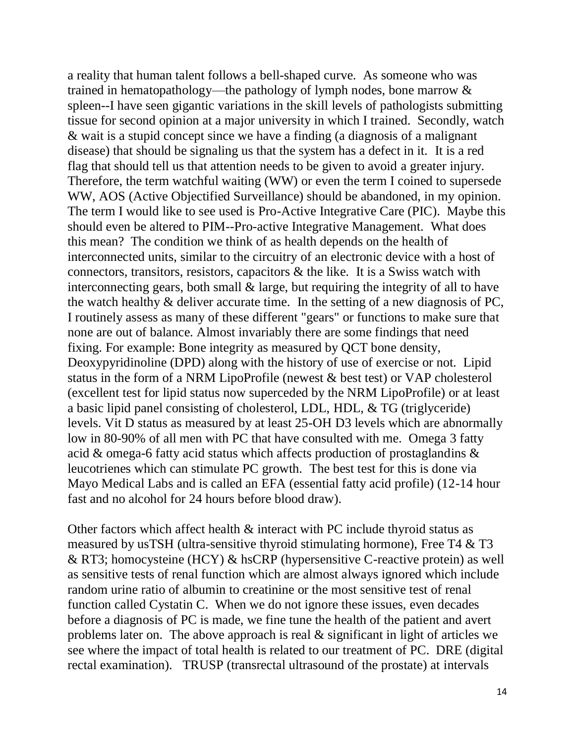a reality that human talent follows a bell-shaped curve. As someone who was trained in hematopathology—the pathology of lymph nodes, bone marrow & spleen--I have seen gigantic variations in the skill levels of pathologists submitting tissue for second opinion at a major university in which I trained. Secondly, watch & wait is a stupid concept since we have a finding (a diagnosis of a malignant disease) that should be signaling us that the system has a defect in it. It is a red flag that should tell us that attention needs to be given to avoid a greater injury. Therefore, the term watchful waiting (WW) or even the term I coined to supersede WW, AOS (Active Objectified Surveillance) should be abandoned, in my opinion. The term I would like to see used is Pro-Active Integrative Care (PIC). Maybe this should even be altered to PIM--Pro-active Integrative Management. What does this mean? The condition we think of as health depends on the health of interconnected units, similar to the circuitry of an electronic device with a host of connectors, transitors, resistors, capacitors  $\&$  the like. It is a Swiss watch with interconnecting gears, both small & large, but requiring the integrity of all to have the watch healthy & deliver accurate time. In the setting of a new diagnosis of PC, I routinely assess as many of these different "gears" or functions to make sure that none are out of balance. Almost invariably there are some findings that need fixing. For example: Bone integrity as measured by QCT bone density, Deoxypyridinoline (DPD) along with the history of use of exercise or not. Lipid status in the form of a NRM LipoProfile (newest & best test) or VAP cholesterol (excellent test for lipid status now superceded by the NRM LipoProfile) or at least a basic lipid panel consisting of cholesterol, LDL, HDL, & TG (triglyceride) levels. Vit D status as measured by at least 25-OH D3 levels which are abnormally low in 80-90% of all men with PC that have consulted with me. Omega 3 fatty acid & omega-6 fatty acid status which affects production of prostaglandins & leucotrienes which can stimulate PC growth. The best test for this is done via Mayo Medical Labs and is called an EFA (essential fatty acid profile) (12-14 hour fast and no alcohol for 24 hours before blood draw).

Other factors which affect health & interact with PC include thyroid status as measured by usTSH (ultra-sensitive thyroid stimulating hormone), Free T4 & T3 & RT3; homocysteine (HCY) & hsCRP (hypersensitive C-reactive protein) as well as sensitive tests of renal function which are almost always ignored which include random urine ratio of albumin to creatinine or the most sensitive test of renal function called Cystatin C. When we do not ignore these issues, even decades before a diagnosis of PC is made, we fine tune the health of the patient and avert problems later on. The above approach is real & significant in light of articles we see where the impact of total health is related to our treatment of PC. DRE (digital rectal examination). TRUSP (transrectal ultrasound of the prostate) at intervals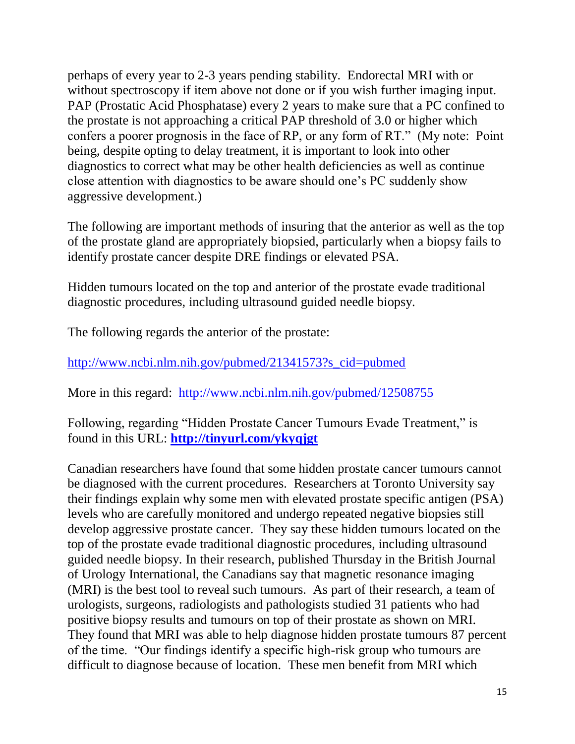perhaps of every year to 2-3 years pending stability. Endorectal MRI with or without spectroscopy if item above not done or if you wish further imaging input. PAP (Prostatic Acid Phosphatase) every 2 years to make sure that a PC confined to the prostate is not approaching a critical PAP threshold of 3.0 or higher which confers a poorer prognosis in the face of RP, or any form of RT." (My note: Point being, despite opting to delay treatment, it is important to look into other diagnostics to correct what may be other health deficiencies as well as continue close attention with diagnostics to be aware should one's PC suddenly show aggressive development.)

The following are important methods of insuring that the anterior as well as the top of the prostate gland are appropriately biopsied, particularly when a biopsy fails to identify prostate cancer despite DRE findings or elevated PSA.

Hidden tumours located on the top and anterior of the prostate evade traditional diagnostic procedures, including ultrasound guided needle biopsy.

The following regards the anterior of the prostate:

[http://www.ncbi.nlm.nih.gov/pubmed/21341573?s\\_cid=pubmed](http://www.ncbi.nlm.nih.gov/pubmed/21341573?s_cid=pubmed)

More in this regard: <http://www.ncbi.nlm.nih.gov/pubmed/12508755>

Following, regarding "Hidden Prostate Cancer Tumours Evade Treatment," is found in this URL: **<http://tinyurl.com/ykyqjgt>**

Canadian researchers have found that some hidden prostate cancer tumours cannot be diagnosed with the current procedures. Researchers at Toronto University say their findings explain why some men with elevated prostate specific antigen (PSA) levels who are carefully monitored and undergo repeated negative biopsies still develop aggressive prostate cancer. They say these hidden tumours located on the top of the prostate evade traditional diagnostic procedures, including ultrasound guided needle biopsy. In their research, published Thursday in the British Journal of Urology International, the Canadians say that magnetic resonance imaging (MRI) is the best tool to reveal such tumours. As part of their research, a team of urologists, surgeons, radiologists and pathologists studied 31 patients who had positive biopsy results and tumours on top of their prostate as shown on MRI. They found that MRI was able to help diagnose hidden prostate tumours 87 percent of the time. "Our findings identify a specific high-risk group who tumours are difficult to diagnose because of location. These men benefit from MRI which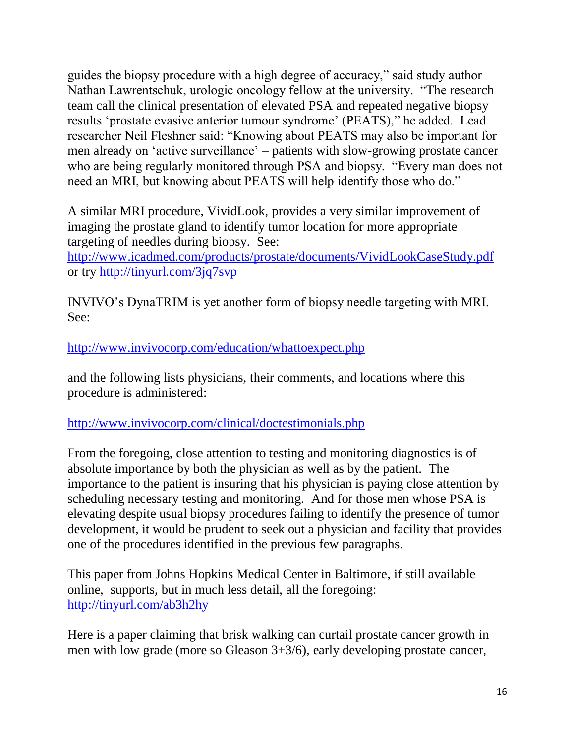guides the biopsy procedure with a high degree of accuracy," said study author Nathan Lawrentschuk, urologic oncology fellow at the university. "The research team call the clinical presentation of elevated PSA and repeated negative biopsy results 'prostate evasive anterior tumour syndrome' (PEATS)," he added. Lead researcher Neil Fleshner said: "Knowing about PEATS may also be important for men already on 'active surveillance' – patients with slow-growing prostate cancer who are being regularly monitored through PSA and biopsy. "Every man does not need an MRI, but knowing about PEATS will help identify those who do."

A similar MRI procedure, VividLook, provides a very similar improvement of imaging the prostate gland to identify tumor location for more appropriate targeting of needles during biopsy. See: <http://www.icadmed.com/products/prostate/documents/VividLookCaseStudy.pdf> or try<http://tinyurl.com/3jq7svp>

INVIVO's DynaTRIM is yet another form of biopsy needle targeting with MRI. See:

<http://www.invivocorp.com/education/whattoexpect.php>

and the following lists physicians, their comments, and locations where this procedure is administered:

<http://www.invivocorp.com/clinical/doctestimonials.php>

From the foregoing, close attention to testing and monitoring diagnostics is of absolute importance by both the physician as well as by the patient. The importance to the patient is insuring that his physician is paying close attention by scheduling necessary testing and monitoring. And for those men whose PSA is elevating despite usual biopsy procedures failing to identify the presence of tumor development, it would be prudent to seek out a physician and facility that provides one of the procedures identified in the previous few paragraphs.

This paper from Johns Hopkins Medical Center in Baltimore, if still available online, supports, but in much less detail, all the foregoing: <http://tinyurl.com/ab3h2hy>

Here is a paper claiming that brisk walking can curtail prostate cancer growth in men with low grade (more so Gleason 3+3/6), early developing prostate cancer,